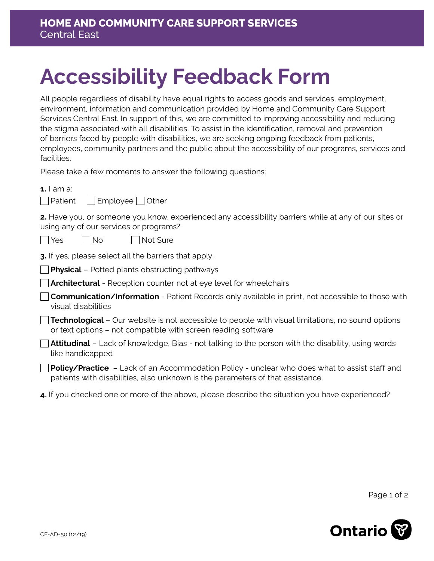## **Accessibility Feedback Form**

All people regardless of disability have equal rights to access goods and services, employment, environment, information and communication provided by Home and Community Care Support Services Central East. In support of this, we are committed to improving accessibility and reducing the stigma associated with all disabilities. To assist in the identification, removal and prevention of barriers faced by people with disabilities, we are seeking ongoing feedback from patients, employees, community partners and the public about the accessibility of our programs, services and facilities.

Please take a few moments to answer the following questions:

**1.** I am a:

| l Patient | Employee | Other |
|-----------|----------|-------|
|-----------|----------|-------|

**2.** Have you, or someone you know, experienced any accessibility barriers while at any of our sites or using any of our services or programs?

| Yes l INo | Not Sure

**3.** If yes, please select all the barriers that apply:

**Physical** – Potted plants obstructing pathways

**Architectural** - Reception counter not at eye level for wheelchairs

**Communication/Information** - Patient Records only available in print, not accessible to those with visual disabilities

**Technological** – Our website is not accessible to people with visual limitations, no sound options or text options – not compatible with screen reading software

**Attitudinal** – Lack of knowledge, Bias - not talking to the person with the disability, using words like handicapped

**Policy/Practice** – Lack of an Accommodation Policy - unclear who does what to assist staff and patients with disabilities, also unknown is the parameters of that assistance.

**4.** If you checked one or more of the above, please describe the situation you have experienced?

Page 1 of 2